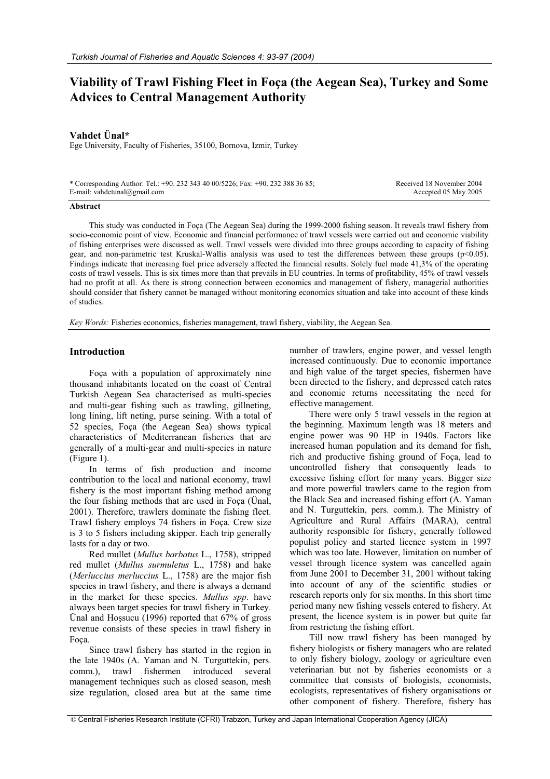# **Viability of Trawl Fishing Fleet in Foça (the Aegean Sea), Turkey and Some Advices to Central Management Authority**

## **Vahdet Ünal\***

Ege University, Faculty of Fisheries, 35100, Bornova, Izmir, Turkey

\* Corresponding Author: Tel.: +90. 232 343 40 00/5226; Fax: +90. 232 388 36 85; E-mail: vahdetunal@gmail.com

 Received 18 November 2004 Accepted 05 May 2005

#### **Abstract**

This study was conducted in Foça (The Aegean Sea) during the 1999-2000 fishing season. It reveals trawl fishery from socio-economic point of view. Economic and financial performance of trawl vessels were carried out and economic viability of fishing enterprises were discussed as well. Trawl vessels were divided into three groups according to capacity of fishing gear, and non-parametric test Kruskal-Wallis analysis was used to test the differences between these groups (p<0.05). Findings indicate that increasing fuel price adversely affected the financial results. Solely fuel made 41,3% of the operating costs of trawl vessels. This is six times more than that prevails in EU countries. In terms of profitability, 45% of trawl vessels had no profit at all. As there is strong connection between economics and management of fishery, managerial authorities should consider that fishery cannot be managed without monitoring economics situation and take into account of these kinds of studies.

*Key Words:* Fisheries economics, fisheries management, trawl fishery, viability, the Aegean Sea.

### **Introduction**

Foça with a population of approximately nine thousand inhabitants located on the coast of Central Turkish Aegean Sea characterised as multi-species and multi-gear fishing such as trawling, gillneting, long lining, lift neting, purse seining. With a total of 52 species, Foça (the Aegean Sea) shows typical characteristics of Mediterranean fisheries that are generally of a multi-gear and multi-species in nature (Figure 1).

In terms of fish production and income contribution to the local and national economy, trawl fishery is the most important fishing method among the four fishing methods that are used in Foça (Ünal, 2001). Therefore, trawlers dominate the fishing fleet. Trawl fishery employs 74 fishers in Foça. Crew size is 3 to 5 fishers including skipper. Each trip generally lasts for a day or two.

Red mullet (*Mullus barbatus* L., 1758), stripped red mullet (*Mullus surmuletus* L., 1758) and hake (*Merluccius merluccius* L., 1758) are the major fish species in trawl fishery, and there is always a demand in the market for these species. *Mullus spp*. have always been target species for trawl fishery in Turkey. Ünal and Hossucu (1996) reported that  $67\%$  of gross revenue consists of these species in trawl fishery in Foça.

Since trawl fishery has started in the region in the late 1940s (A. Yaman and N. Turguttekin, pers. comm.), trawl fishermen introduced several management techniques such as closed season, mesh size regulation, closed area but at the same time

number of trawlers, engine power, and vessel length increased continuously. Due to economic importance and high value of the target species, fishermen have been directed to the fishery, and depressed catch rates and economic returns necessitating the need for effective management.

There were only 5 trawl vessels in the region at the beginning. Maximum length was 18 meters and engine power was 90 HP in 1940s. Factors like increased human population and its demand for fish, rich and productive fishing ground of Foça, lead to uncontrolled fishery that consequently leads to excessive fishing effort for many years. Bigger size and more powerful trawlers came to the region from the Black Sea and increased fishing effort (A. Yaman and N. Turguttekin, pers. comm.). The Ministry of Agriculture and Rural Affairs (MARA), central authority responsible for fishery, generally followed populist policy and started licence system in 1997 which was too late. However, limitation on number of vessel through licence system was cancelled again from June 2001 to December 31, 2001 without taking into account of any of the scientific studies or research reports only for six months. In this short time period many new fishing vessels entered to fishery. At present, the licence system is in power but quite far from restricting the fishing effort.

Till now trawl fishery has been managed by fishery biologists or fishery managers who are related to only fishery biology, zoology or agriculture even veterinarian but not by fisheries economists or a committee that consists of biologists, economists, ecologists, representatives of fishery organisations or other component of fishery. Therefore, fishery has

© Central Fisheries Research Institute (CFRI) Trabzon, Turkey and Japan International Cooperation Agency (JICA)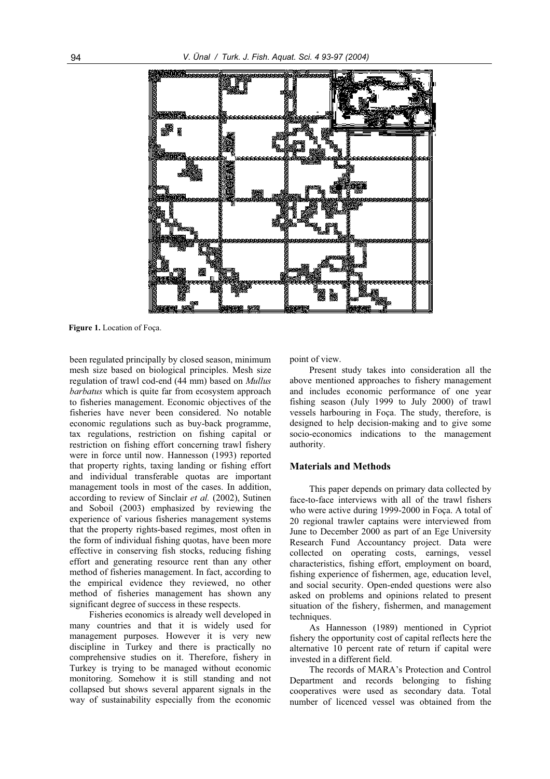

**Figure 1.** Location of Foça.

been regulated principally by closed season, minimum mesh size based on biological principles. Mesh size regulation of trawl cod-end (44 mm) based on *Mullus barbatus* which is quite far from ecosystem approach to fisheries management. Economic objectives of the fisheries have never been considered. No notable economic regulations such as buy-back programme, tax regulations, restriction on fishing capital or restriction on fishing effort concerning trawl fishery were in force until now. Hannesson (1993) reported that property rights, taxing landing or fishing effort and individual transferable quotas are important management tools in most of the cases. In addition, according to review of Sinclair *et al.* (2002), Sutinen and Soboil (2003) emphasized by reviewing the experience of various fisheries management systems that the property rights-based regimes, most often in the form of individual fishing quotas, have been more effective in conserving fish stocks, reducing fishing effort and generating resource rent than any other method of fisheries management. In fact, according to the empirical evidence they reviewed, no other method of fisheries management has shown any significant degree of success in these respects.

Fisheries economics is already well developed in many countries and that it is widely used for management purposes. However it is very new discipline in Turkey and there is practically no comprehensive studies on it. Therefore, fishery in Turkey is trying to be managed without economic monitoring. Somehow it is still standing and not collapsed but shows several apparent signals in the way of sustainability especially from the economic

point of view.

Present study takes into consideration all the above mentioned approaches to fishery management and includes economic performance of one year fishing season (July 1999 to July 2000) of trawl vessels harbouring in Foça. The study, therefore, is designed to help decision-making and to give some socio-economics indications to the management authority.

#### **Materials and Methods**

This paper depends on primary data collected by face-to-face interviews with all of the trawl fishers who were active during 1999-2000 in Foça. A total of 20 regional trawler captains were interviewed from June to December 2000 as part of an Ege University Research Fund Accountancy project. Data were collected on operating costs, earnings, vessel characteristics, fishing effort, employment on board, fishing experience of fishermen, age, education level, and social security. Open-ended questions were also asked on problems and opinions related to present situation of the fishery, fishermen, and management techniques.

As Hannesson (1989) mentioned in Cypriot fishery the opportunity cost of capital reflects here the alternative 10 percent rate of return if capital were invested in a different field.

The records of MARA's Protection and Control Department and records belonging to fishing cooperatives were used as secondary data. Total number of licenced vessel was obtained from the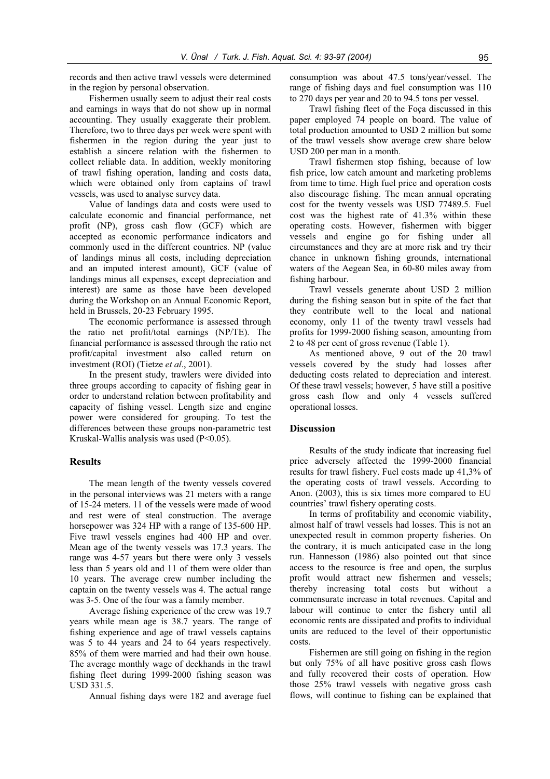records and then active trawl vessels were determined in the region by personal observation.

Fishermen usually seem to adjust their real costs and earnings in ways that do not show up in normal accounting. They usually exaggerate their problem. Therefore, two to three days per week were spent with fishermen in the region during the year just to establish a sincere relation with the fishermen to collect reliable data. In addition, weekly monitoring of trawl fishing operation, landing and costs data, which were obtained only from captains of trawl vessels, was used to analyse survey data.

Value of landings data and costs were used to calculate economic and financial performance, net profit (NP), gross cash flow (GCF) which are accepted as economic performance indicators and commonly used in the different countries. NP (value of landings minus all costs, including depreciation and an imputed interest amount), GCF (value of landings minus all expenses, except depreciation and interest) are same as those have been developed during the Workshop on an Annual Economic Report, held in Brussels, 20-23 February 1995.

The economic performance is assessed through the ratio net profit/total earnings (NP/TE). The financial performance is assessed through the ratio net profit/capital investment also called return on investment (ROI) (Tietze *et al*., 2001).

In the present study, trawlers were divided into three groups according to capacity of fishing gear in order to understand relation between profitability and capacity of fishing vessel. Length size and engine power were considered for grouping. To test the differences between these groups non-parametric test Kruskal-Wallis analysis was used (P<0.05).

## **Results**

The mean length of the twenty vessels covered in the personal interviews was 21 meters with a range of 15-24 meters. 11 of the vessels were made of wood and rest were of steal construction. The average horsepower was 324 HP with a range of 135-600 HP. Five trawl vessels engines had 400 HP and over. Mean age of the twenty vessels was 17.3 years. The range was 4-57 years but there were only 3 vessels less than 5 years old and 11 of them were older than 10 years. The average crew number including the captain on the twenty vessels was 4. The actual range was 3-5. One of the four was a family member.

Average fishing experience of the crew was 19.7 years while mean age is 38.7 years. The range of fishing experience and age of trawl vessels captains was 5 to 44 years and 24 to 64 years respectively. 85% of them were married and had their own house. The average monthly wage of deckhands in the trawl fishing fleet during 1999-2000 fishing season was USD 331.5.

Annual fishing days were 182 and average fuel

consumption was about 47.5 tons/year/vessel. The range of fishing days and fuel consumption was 110 to 270 days per year and 20 to 94.5 tons per vessel.

Trawl fishing fleet of the Foça discussed in this paper employed 74 people on board. The value of total production amounted to USD 2 million but some of the trawl vessels show average crew share below USD 200 per man in a month.

Trawl fishermen stop fishing, because of low fish price, low catch amount and marketing problems from time to time. High fuel price and operation costs also discourage fishing. The mean annual operating cost for the twenty vessels was USD 77489.5. Fuel cost was the highest rate of 41.3% within these operating costs. However, fishermen with bigger vessels and engine go for fishing under all circumstances and they are at more risk and try their chance in unknown fishing grounds, international waters of the Aegean Sea, in 60-80 miles away from fishing harbour.

Trawl vessels generate about USD 2 million during the fishing season but in spite of the fact that they contribute well to the local and national economy, only 11 of the twenty trawl vessels had profits for 1999-2000 fishing season, amounting from 2 to 48 per cent of gross revenue (Table 1).

As mentioned above, 9 out of the 20 trawl vessels covered by the study had losses after deducting costs related to depreciation and interest. Of these trawl vessels; however, 5 have still a positive gross cash flow and only 4 vessels suffered operational losses.

## **Discussion**

Results of the study indicate that increasing fuel price adversely affected the 1999-2000 financial results for trawl fishery. Fuel costs made up 41,3% of the operating costs of trawl vessels. According to Anon. (2003), this is six times more compared to EU countries' trawl fishery operating costs.

In terms of profitability and economic viability, almost half of trawl vessels had losses. This is not an unexpected result in common property fisheries. On the contrary, it is much anticipated case in the long run. Hannesson (1986) also pointed out that since access to the resource is free and open, the surplus profit would attract new fishermen and vessels; thereby increasing total costs but without a commensurate increase in total revenues. Capital and labour will continue to enter the fishery until all economic rents are dissipated and profits to individual units are reduced to the level of their opportunistic costs.

Fishermen are still going on fishing in the region but only 75% of all have positive gross cash flows and fully recovered their costs of operation. How those 25% trawl vessels with negative gross cash flows, will continue to fishing can be explained that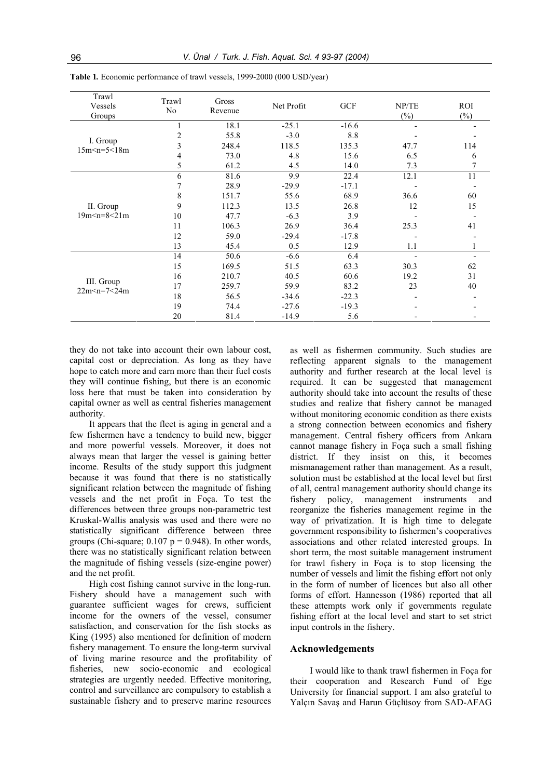| Trawl<br>Vessels<br>Groups            | Trawl<br>No | Gross<br>Revenue | Net Profit | <b>GCF</b> | NP/TE<br>$(\%)$ | <b>ROI</b><br>$(\%)$ |
|---------------------------------------|-------------|------------------|------------|------------|-----------------|----------------------|
| I. Group<br>$15m-5<18m$               |             | 18.1             | $-25.1$    | $-16.6$    |                 |                      |
|                                       | 2           | 55.8             | $-3.0$     | 8.8        |                 |                      |
|                                       | 3           | 248.4            | 118.5      | 135.3      | 47.7            | 114                  |
|                                       | 4           | 73.0             | 4.8        | 15.6       | 6.5             | 6                    |
|                                       | 5           | 61.2             | 4.5        | 14.0       | 7.3             | 7                    |
| II. Group<br>$19m < n = 8 < 21m$      | 6           | 81.6             | 9.9        | 22.4       | 12.1            | 11                   |
|                                       | 7           | 28.9             | $-29.9$    | $-17.1$    |                 |                      |
|                                       | 8           | 151.7            | 55.6       | 68.9       | 36.6            | 60                   |
|                                       | 9           | 112.3            | 13.5       | 26.8       | 12              | 15                   |
|                                       | 10          | 47.7             | $-6.3$     | 3.9        |                 |                      |
|                                       | 11          | 106.3            | 26.9       | 36.4       | 25.3            | 41                   |
|                                       | 12          | 59.0             | $-29.4$    | $-17.8$    |                 |                      |
|                                       | 13          | 45.4             | 0.5        | 12.9       | 1.1             |                      |
| III. Group<br>$22m$ < $n = 7$ < $24m$ | 14          | 50.6             | $-6.6$     | 6.4        |                 |                      |
|                                       | 15          | 169.5            | 51.5       | 63.3       | 30.3            | 62                   |
|                                       | 16          | 210.7            | 40.5       | 60.6       | 19.2            | 31                   |
|                                       | 17          | 259.7            | 59.9       | 83.2       | 23              | 40                   |
|                                       | 18          | 56.5             | $-34.6$    | $-22.3$    |                 |                      |
|                                       | 19          | 74.4             | $-27.6$    | $-19.3$    |                 |                      |
|                                       | 20          | 81.4             | $-14.9$    | 5.6        |                 |                      |

**Table 1***.* Economic performance of trawl vessels, 1999-2000 (000 USD/year)

they do not take into account their own labour cost, capital cost or depreciation. As long as they have hope to catch more and earn more than their fuel costs they will continue fishing, but there is an economic loss here that must be taken into consideration by capital owner as well as central fisheries management authority.

It appears that the fleet is aging in general and a few fishermen have a tendency to build new, bigger and more powerful vessels. Moreover, it does not always mean that larger the vessel is gaining better income. Results of the study support this judgment because it was found that there is no statistically significant relation between the magnitude of fishing vessels and the net profit in Foça. To test the differences between three groups non-parametric test Kruskal-Wallis analysis was used and there were no statistically significant difference between three groups (Chi-square;  $0.107$  p = 0.948). In other words, there was no statistically significant relation between the magnitude of fishing vessels (size-engine power) and the net profit.

High cost fishing cannot survive in the long-run. Fishery should have a management such with guarantee sufficient wages for crews, sufficient income for the owners of the vessel, consumer satisfaction, and conservation for the fish stocks as King (1995) also mentioned for definition of modern fishery management. To ensure the long-term survival of living marine resource and the profitability of fisheries, new socio-economic and ecological strategies are urgently needed. Effective monitoring, control and surveillance are compulsory to establish a sustainable fishery and to preserve marine resources

as well as fishermen community. Such studies are reflecting apparent signals to the management authority and further research at the local level is required. It can be suggested that management authority should take into account the results of these studies and realize that fishery cannot be managed without monitoring economic condition as there exists a strong connection between economics and fishery management. Central fishery officers from Ankara cannot manage fishery in Foça such a small fishing district. If they insist on this, it becomes mismanagement rather than management. As a result, solution must be established at the local level but first of all, central management authority should change its fishery policy, management instruments and reorganize the fisheries management regime in the way of privatization. It is high time to delegate government responsibility to fishermen's cooperatives associations and other related interested groups. In short term, the most suitable management instrument for trawl fishery in Foça is to stop licensing the number of vessels and limit the fishing effort not only in the form of number of licences but also all other forms of effort. Hannesson (1986) reported that all these attempts work only if governments regulate fishing effort at the local level and start to set strict input controls in the fishery.

### **Acknowledgements**

I would like to thank trawl fishermen in Foça for their cooperation and Research Fund of Ege University for financial support. I am also grateful to Yalçın Savaş and Harun Güçlüsoy from SAD-AFAG